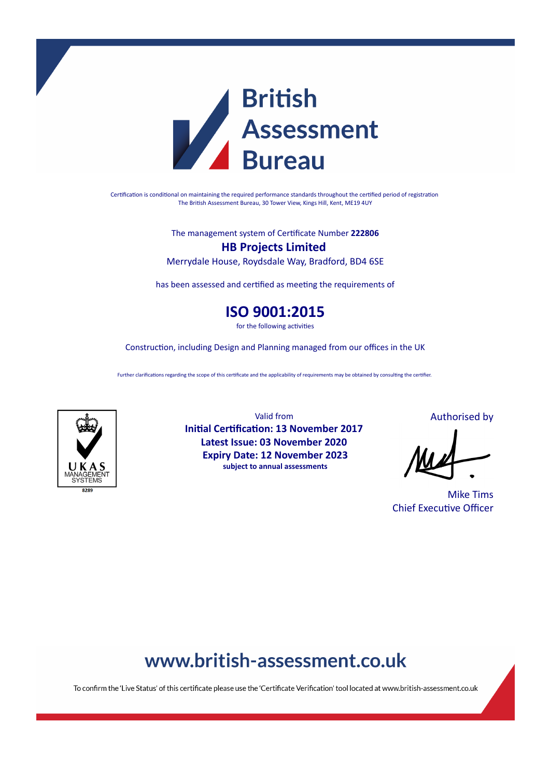

Certification is conditional on maintaining the required performance standards throughout the certified period of registration The British Assessment Bureau, 30 Tower View, Kings Hill, Kent, ME19 4UY

The management system of Cerficate Number **222806**

**HB Projects Limited** Merrydale House, Roydsdale Way, Bradford, BD4 6SE

has been assessed and certified as meeting the requirements of

**ISO 9001:2015**

for the following activities

Construction, including Design and Planning managed from our offices in the UK

Further clarifications regarding the scope of this certificate and the applicability of requirements may be obtained by consulting the certifier.



Valid from **Initial Certification: 13 November 2017 Latest Issue: 03 November 2020 Expiry Date: 12 November 2023 subject to annual assessments**

Authorised by

Mike Tims **Chief Executive Officer** 

# www.british-assessment.co.uk

To confirm the 'Live Status' of this certificate please use the 'Certificate Verification' tool located at www.british-assessment.co.uk